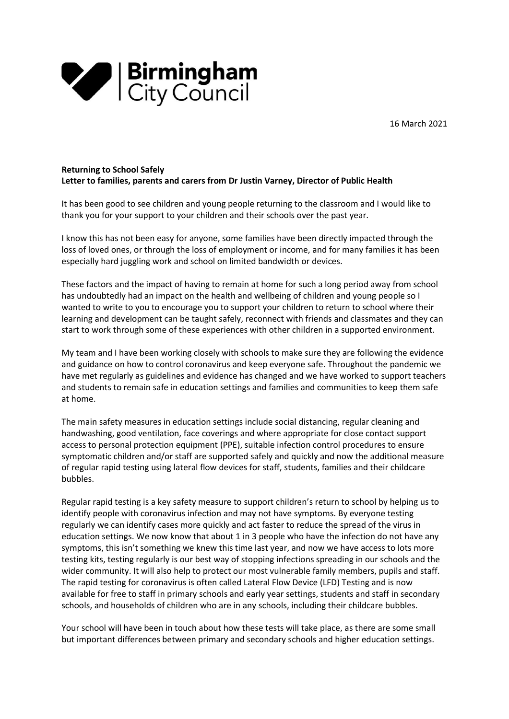



#### Returning to School Safely Letter to families, parents and carers from Dr Justin Varney, Director of Public Health

It has been good to see children and young people returning to the classroom and I would like to thank you for your support to your children and their schools over the past year.

I know this has not been easy for anyone, some families have been directly impacted through the loss of loved ones, or through the loss of employment or income, and for many families it has been especially hard juggling work and school on limited bandwidth or devices.

These factors and the impact of having to remain at home for such a long period away from school has undoubtedly had an impact on the health and wellbeing of children and young people so I wanted to write to you to encourage you to support your children to return to school where their learning and development can be taught safely, reconnect with friends and classmates and they can start to work through some of these experiences with other children in a supported environment.

My team and I have been working closely with schools to make sure they are following the evidence and guidance on how to control coronavirus and keep everyone safe. Throughout the pandemic we have met regularly as guidelines and evidence has changed and we have worked to support teachers and students to remain safe in education settings and families and communities to keep them safe at home.

The main safety measures in education settings include social distancing, regular cleaning and handwashing, good ventilation, face coverings and where appropriate for close contact support access to personal protection equipment (PPE), suitable infection control procedures to ensure symptomatic children and/or staff are supported safely and quickly and now the additional measure of regular rapid testing using lateral flow devices for staff, students, families and their childcare bubbles.

Regular rapid testing is a key safety measure to support children's return to school by helping us to identify people with coronavirus infection and may not have symptoms. By everyone testing regularly we can identify cases more quickly and act faster to reduce the spread of the virus in education settings. We now know that about 1 in 3 people who have the infection do not have any symptoms, this isn't something we knew this time last year, and now we have access to lots more testing kits, testing regularly is our best way of stopping infections spreading in our schools and the wider community. It will also help to protect our most vulnerable family members, pupils and staff. The rapid testing for coronavirus is often called Lateral Flow Device (LFD) Testing and is now available for free to staff in primary schools and early year settings, students and staff in secondary schools, and households of children who are in any schools, including their childcare bubbles.

Your school will have been in touch about how these tests will take place, as there are some small but important differences between primary and secondary schools and higher education settings.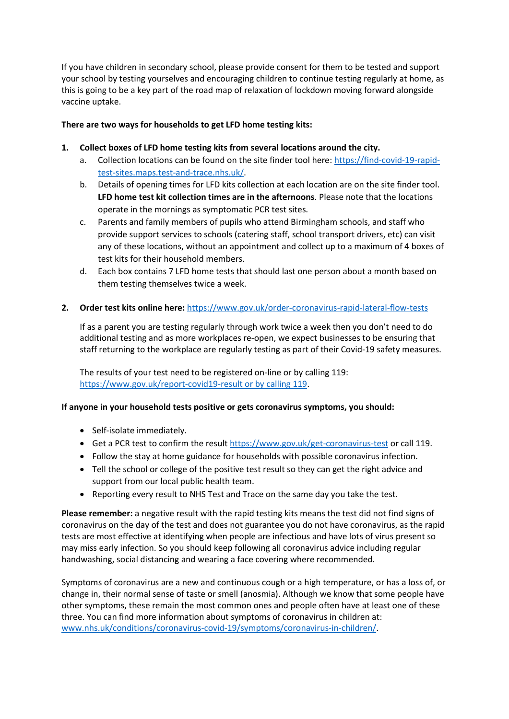If you have children in secondary school, please provide consent for them to be tested and support your school by testing yourselves and encouraging children to continue testing regularly at home, as this is going to be a key part of the road map of relaxation of lockdown moving forward alongside vaccine uptake.

## There are two ways for households to get LFD home testing kits:

### 1. Collect boxes of LFD home testing kits from several locations around the city.

- a. Collection locations can be found on the site finder tool here: https://find-covid-19-rapidtest-sites.maps.test-and-trace.nhs.uk/.
- b. Details of opening times for LFD kits collection at each location are on the site finder tool. LFD home test kit collection times are in the afternoons. Please note that the locations operate in the mornings as symptomatic PCR test sites.
- c. Parents and family members of pupils who attend Birmingham schools, and staff who provide support services to schools (catering staff, school transport drivers, etc) can visit any of these locations, without an appointment and collect up to a maximum of 4 boxes of test kits for their household members.
- d. Each box contains 7 LFD home tests that should last one person about a month based on them testing themselves twice a week.

### 2. Order test kits online here: https://www.gov.uk/order-coronavirus-rapid-lateral-flow-tests

If as a parent you are testing regularly through work twice a week then you don't need to do additional testing and as more workplaces re-open, we expect businesses to be ensuring that staff returning to the workplace are regularly testing as part of their Covid-19 safety measures.

The results of your test need to be registered on-line or by calling 119: https://www.gov.uk/report-covid19-result or by calling 119.

# If anyone in your household tests positive or gets coronavirus symptoms, you should:

- Self-isolate immediately.
- Get a PCR test to confirm the result https://www.gov.uk/get-coronavirus-test or call 119.
- Follow the stay at home guidance for households with possible coronavirus infection.
- Tell the school or college of the positive test result so they can get the right advice and support from our local public health team.
- Reporting every result to NHS Test and Trace on the same day you take the test.

Please remember: a negative result with the rapid testing kits means the test did not find signs of coronavirus on the day of the test and does not guarantee you do not have coronavirus, as the rapid tests are most effective at identifying when people are infectious and have lots of virus present so may miss early infection. So you should keep following all coronavirus advice including regular handwashing, social distancing and wearing a face covering where recommended.

Symptoms of coronavirus are a new and continuous cough or a high temperature, or has a loss of, or change in, their normal sense of taste or smell (anosmia). Although we know that some people have other symptoms, these remain the most common ones and people often have at least one of these three. You can find more information about symptoms of coronavirus in children at: www.nhs.uk/conditions/coronavirus-covid-19/symptoms/coronavirus-in-children/.